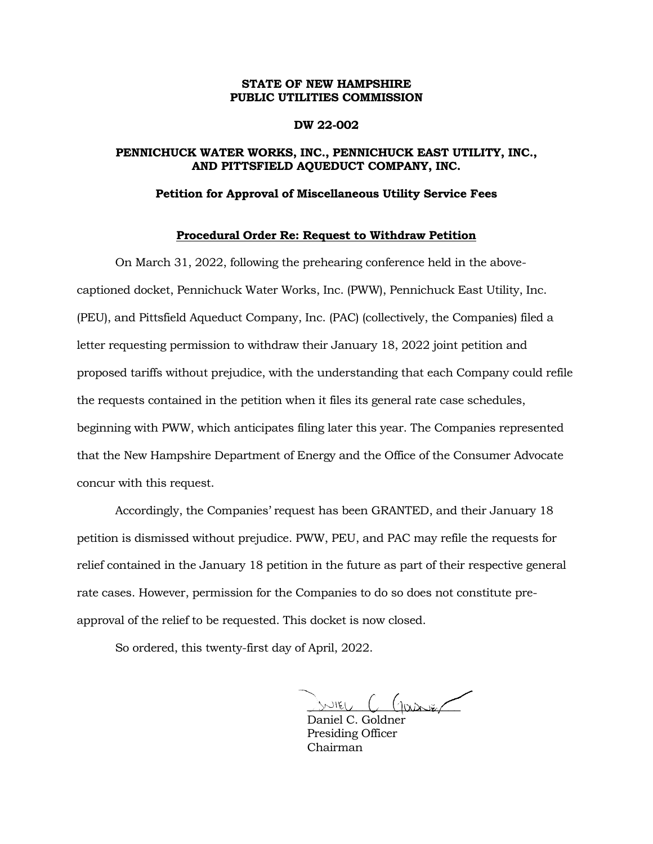# **STATE OF NEW HAMPSHIRE PUBLIC UTILITIES COMMISSION**

### **DW 22-002**

# **PENNICHUCK WATER WORKS, INC., PENNICHUCK EAST UTILITY, INC., AND PITTSFIELD AQUEDUCT COMPANY, INC.**

#### **Petition for Approval of Miscellaneous Utility Service Fees**

## **Procedural Order Re: Request to Withdraw Petition**

On March 31, 2022, following the prehearing conference held in the abovecaptioned docket, Pennichuck Water Works, Inc. (PWW), Pennichuck East Utility, Inc. (PEU), and Pittsfield Aqueduct Company, Inc. (PAC) (collectively, the Companies) filed a letter requesting permission to withdraw their January 18, 2022 joint petition and proposed tariffs without prejudice, with the understanding that each Company could refile the requests contained in the petition when it files its general rate case schedules, beginning with PWW, which anticipates filing later this year. The Companies represented that the New Hampshire Department of Energy and the Office of the Consumer Advocate concur with this request.

Accordingly, the Companies' request has been GRANTED, and their January 18 petition is dismissed without prejudice. PWW, PEU, and PAC may refile the requests for relief contained in the January 18 petition in the future as part of their respective general rate cases. However, permission for the Companies to do so does not constitute preapproval of the relief to be requested. This docket is now closed.

So ordered, this twenty-first day of April, 2022.

 $m_{\text{EU}}$   $C$   $(n_{\text{max}})$ 

Daniel C. Goldner Presiding Officer Chairman